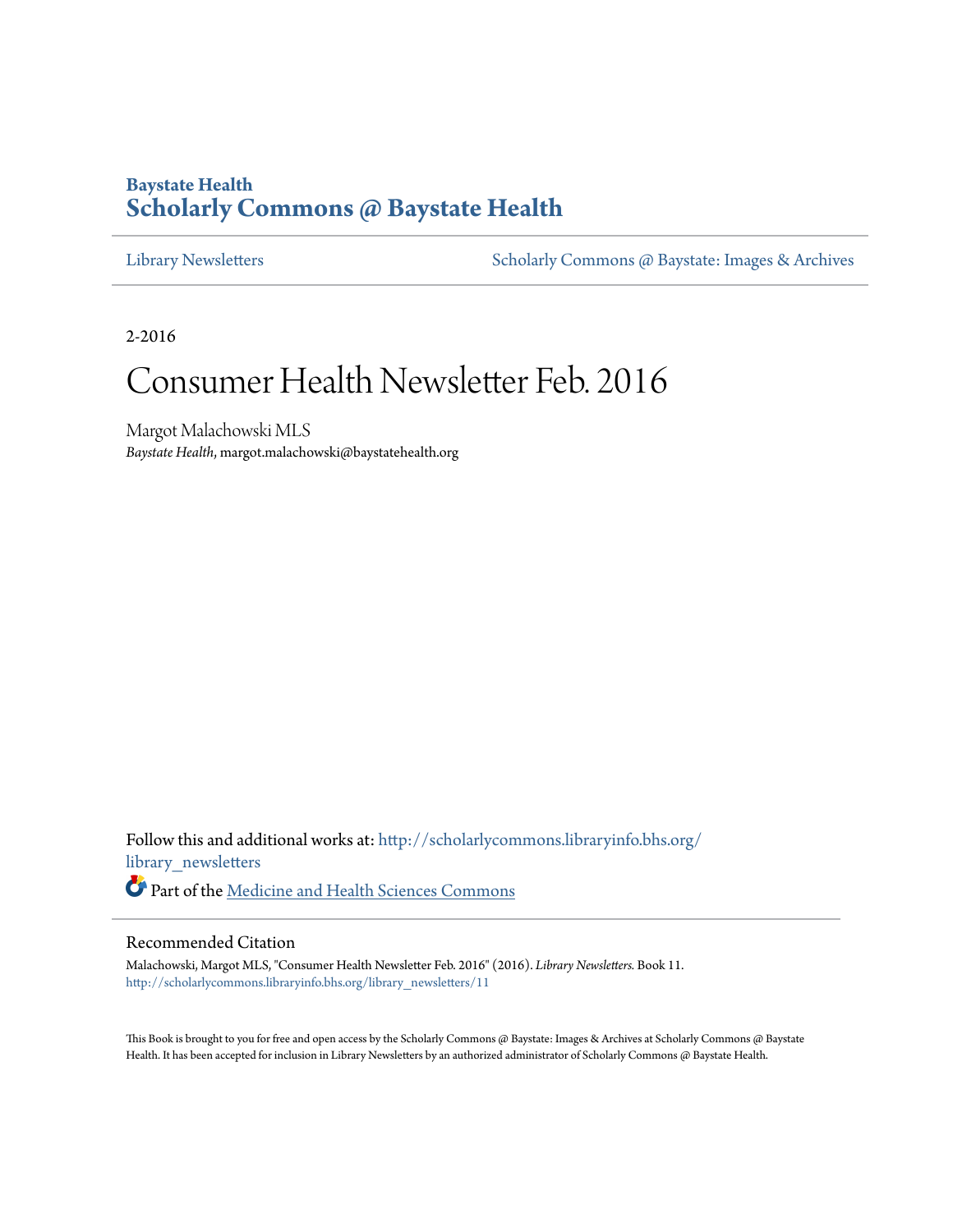### **Baystate Health [Scholarly Commons @ Baystate Health](http://scholarlycommons.libraryinfo.bhs.org?utm_source=scholarlycommons.libraryinfo.bhs.org%2Flibrary_newsletters%2F11&utm_medium=PDF&utm_campaign=PDFCoverPages)**

[Library Newsletters](http://scholarlycommons.libraryinfo.bhs.org/library_newsletters?utm_source=scholarlycommons.libraryinfo.bhs.org%2Flibrary_newsletters%2F11&utm_medium=PDF&utm_campaign=PDFCoverPages) [Scholarly Commons @ Baystate: Images & Archives](http://scholarlycommons.libraryinfo.bhs.org/images_archives?utm_source=scholarlycommons.libraryinfo.bhs.org%2Flibrary_newsletters%2F11&utm_medium=PDF&utm_campaign=PDFCoverPages)

2-2016

## Consumer Health Newsletter Feb. 2016

Margot Malachowski MLS *Baystate Health*, margot.malachowski@baystatehealth.org

Follow this and additional works at: [http://scholarlycommons.libraryinfo.bhs.org/](http://scholarlycommons.libraryinfo.bhs.org/library_newsletters?utm_source=scholarlycommons.libraryinfo.bhs.org%2Flibrary_newsletters%2F11&utm_medium=PDF&utm_campaign=PDFCoverPages) [library\\_newsletters](http://scholarlycommons.libraryinfo.bhs.org/library_newsletters?utm_source=scholarlycommons.libraryinfo.bhs.org%2Flibrary_newsletters%2F11&utm_medium=PDF&utm_campaign=PDFCoverPages) Part of the [Medicine and Health Sciences Commons](http://network.bepress.com/hgg/discipline/648?utm_source=scholarlycommons.libraryinfo.bhs.org%2Flibrary_newsletters%2F11&utm_medium=PDF&utm_campaign=PDFCoverPages)

#### Recommended Citation

Malachowski, Margot MLS, "Consumer Health Newsletter Feb. 2016" (2016). *Library Newsletters.* Book 11. [http://scholarlycommons.libraryinfo.bhs.org/library\\_newsletters/11](http://scholarlycommons.libraryinfo.bhs.org/library_newsletters/11?utm_source=scholarlycommons.libraryinfo.bhs.org%2Flibrary_newsletters%2F11&utm_medium=PDF&utm_campaign=PDFCoverPages)

This Book is brought to you for free and open access by the Scholarly Commons @ Baystate: Images & Archives at Scholarly Commons @ Baystate Health. It has been accepted for inclusion in Library Newsletters by an authorized administrator of Scholarly Commons @ Baystate Health.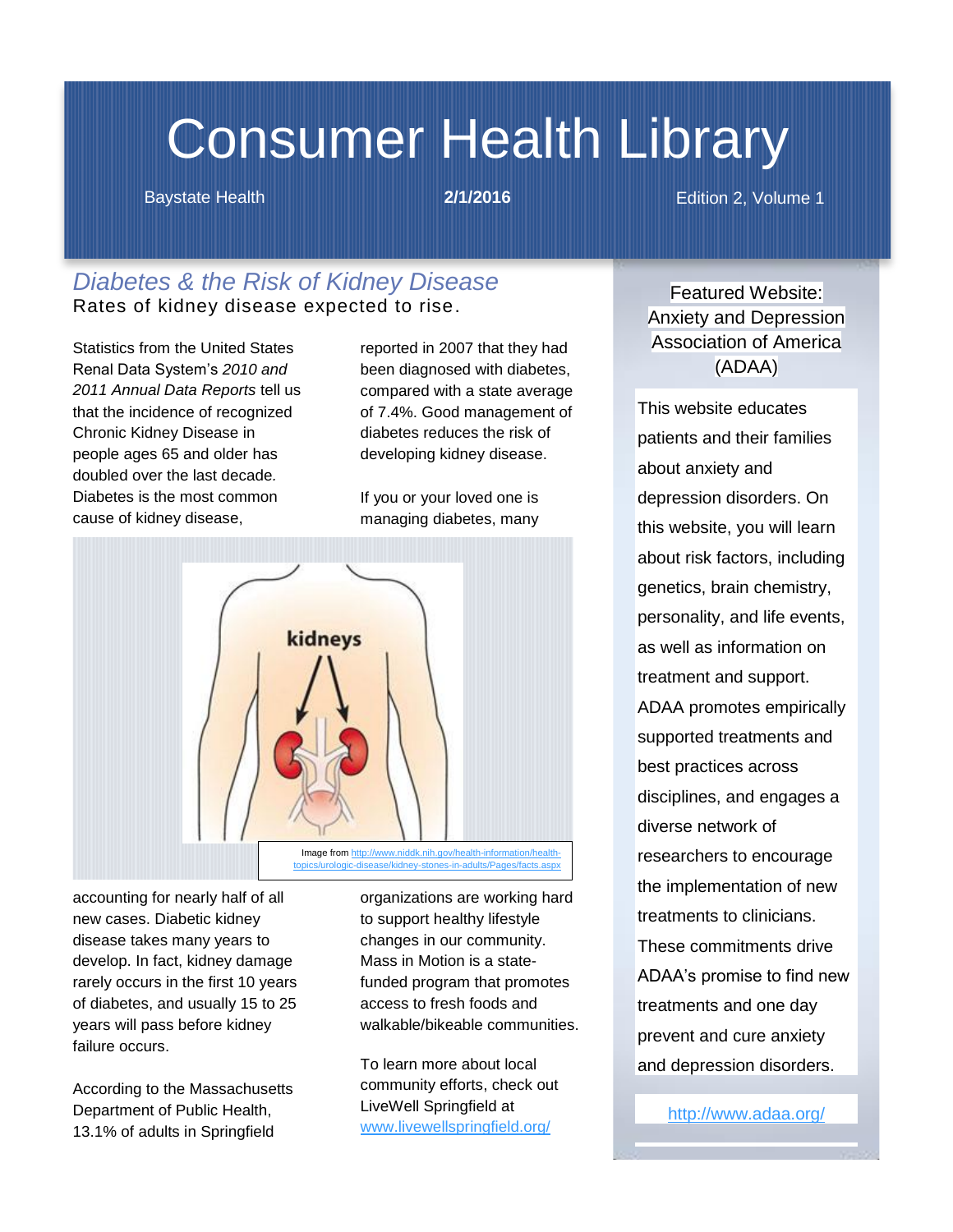# Consumer Health Library

Baystate Health **2/1/2016** Edition 2, Volume 1

### *Diabetes & the Risk of Kidney Disease* Rates of kidney disease expected to rise.

Statistics from the United States Renal Data System's *2010 and 2011 Annual Data Reports* tell us that the incidence of recognized Chronic Kidney Disease in people ages 65 and older has doubled over the last decade*.* Diabetes is the most common cause of kidney disease,

reported in 2007 that they had been diagnosed with diabetes, compared with a state average of 7.4%. Good management of diabetes reduces the risk of developing kidney disease.

If you or your loved one is managing diabetes, many



accounting for nearly half of all new cases. Diabetic kidney disease takes many years to develop. In fact, kidney damage rarely occurs in the first 10 years of diabetes, and usually 15 to 25 years will pass before kidney failure occurs.

According to the Massachusetts Department of Public Health, 13.1% of adults in Springfield

organizations are working hard to support healthy lifestyle changes in our community. Mass in Motion is a statefunded program that promotes access to fresh foods and walkable/bikeable communities.

To learn more about local community efforts, check out LiveWell Springfield at [www.livewellspringfield.org/](http://www.livewellspringfield.org/)

Featured Website: Anxiety and Depression Association of America (ADAA)

This website educates patients and their families about anxiety and depression disorders. On this website, you will learn about risk factors, including genetics, brain chemistry, personality, and life events, as well as information on treatment and support. ADAA promotes empirically supported treatments and best practices across disciplines, and engages a diverse network of researchers to encourage the implementation of new treatments to clinicians. These commitments drive ADAA's promise to find new treatments and one day prevent and cure anxiety and depression disorders.

<http://www.adaa.org/>